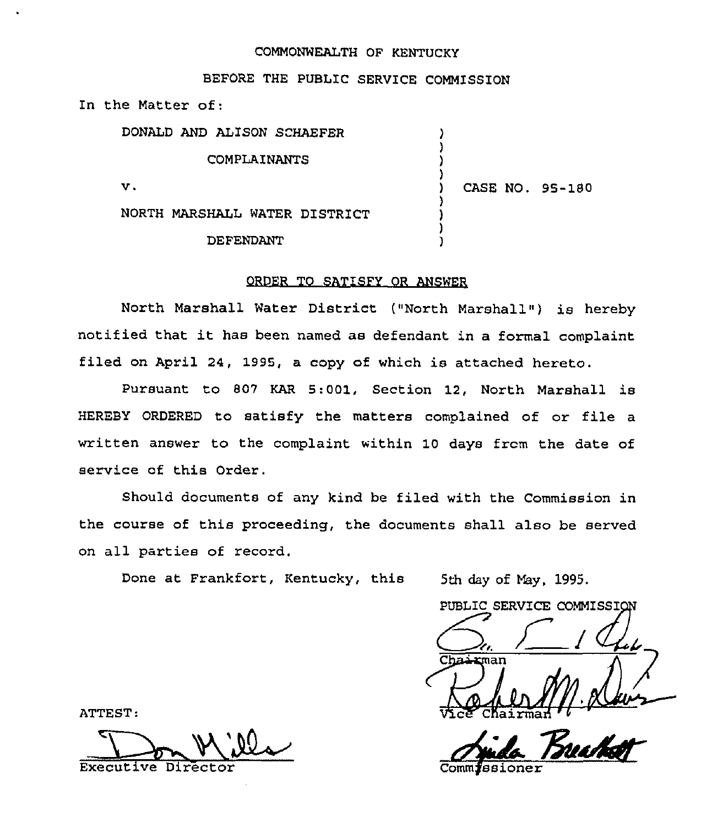## COMMONWEALTH OF KENTUCKY

## BEFORE THE PUBLIC SERVICE COMMISSION

In the Matter of:

| DONALD AND ALISON SCHAEFER    |                 |
|-------------------------------|-----------------|
| COMPLAINANTS                  |                 |
| v.                            | CASE NO. 95-180 |
| NORTH MARSHALL WATER DISTRICT |                 |
| DEFENDANT                     |                 |

## ORDER TO SATISFY OR ANSWER

North Marshall Water District ("North Marshall") is hereby notified that it has been named as defendant in <sup>a</sup> formal complaint filed on April 24, 1995, <sup>a</sup> copy of which is attached hereto.

Pursuant to 809 KAR 5:001, Section 12, North Marshall is HEREBY ORDERED to satisfy the matters complained of or file a written answer to the complaint within 10 days from the date of service of this Order.

Should documents of any kind be filed with the Commission in the course of this proceeding, the documents shall also be served on all parties of record.

Done at Frankfort, Kentucky, this

5th day of May, 1995.<br>PUBLIC SERVICE COMMISSION  $\sqrt{2e^2}$ Chairmad '

Comm**j**ssione <u>Bruhot</u>

ATTEST:

Executive Director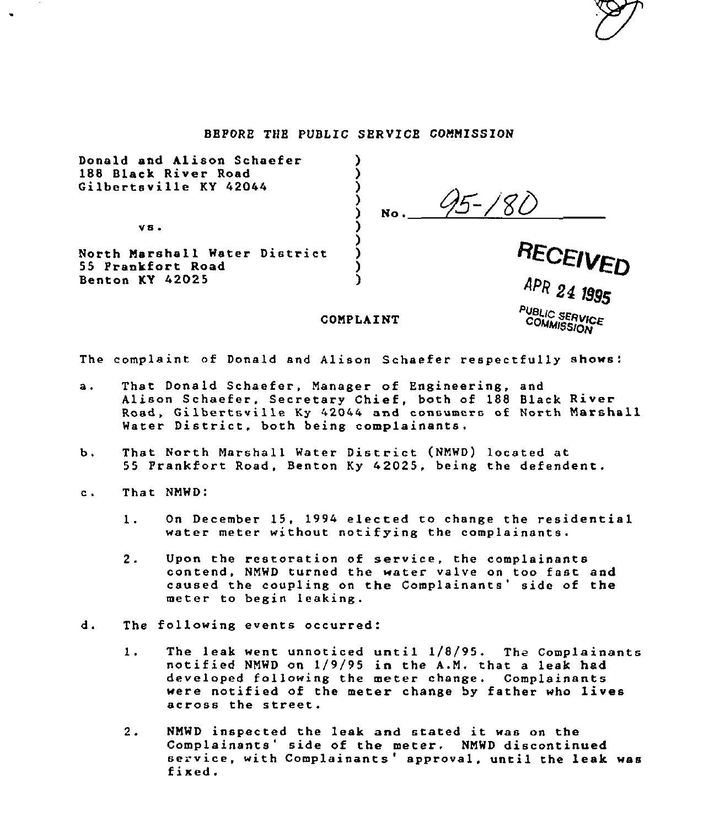#### BEFORE THE PUBLIC SERVICE COMNISSION

| Donald and Alison Schaefer<br>188 Black River Road<br>Gilbertsville KY 42044 | No.                                       |
|------------------------------------------------------------------------------|-------------------------------------------|
| VS.                                                                          |                                           |
| North Marshall Water District<br>55 Prankfort Road                           | RECEIVED                                  |
| Benton KY 42025                                                              | APR 24 1995                               |
|                                                                              | PUBLIC SERVICE<br>COMMISSION<br>COMPLAINT |

The complaint of Donald and Alison Schaefer respectfully shows:

- That Donald Schaefer, Manager of Engineering, snd  $a<sub>1</sub>$ Alison Schaefer, Secretary Chief, both of 188 Black River Road, Gilbertsville Ky 42044 and consumers of North Marshall Water District, both being complainants.
- b. That North Marshall Water District (NMWD) located at 55 Frankfort Road, Benton Ky 42025, being the defendant.
- c. That NMWD:
	- 1. On December 15, 1994 elected to change the residential water meter without notifying the complainants.
	- 2. Upon the restoration of service, the complainants contend, NMWD turned the water valve on too fast and caused the coupling on the Complainants' side of the meter to begin leaking.
- The following events occurred: d.
	- The leak went unnoticed until 1/8/95. The Complain<br>notified NMWD on 1/9/95 in the A.M, that a leak had  $1.$ The leak went unnoticed until  $1/8/95$ . The Complainants developed following the meter change. Complainant were notified of the meter change by father who lives across the street.
	- $2.1$ NMWD inspected the leak and stated it was on the<br>Complainants' side of the meter. NMWD discontinued<br>service, with Complainants 'approval, until the leak was<br>fixed.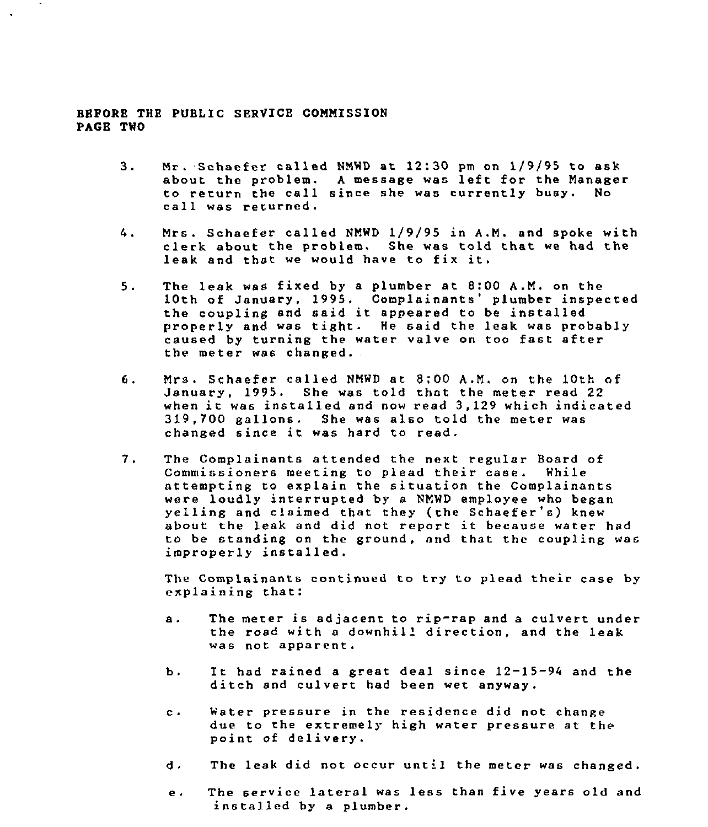#### BEFORE THE PUBLIC SERVICE COMMISSION PAGE TWO

- $3.$ Nr. Schaefer called WNWD at 12:30 pm on 1/9/95 to ask about the problem. <sup>A</sup> message was left for the Manager to return the call since she was currently busy.<br>call was returned.
- 4. Mrs. Schsefer celled NNWD 1/9/95 in A.N. snd spoke with clerk about the problem. She was told that we had the leak and that we would have to fix it.
- $5.$ The leak was fixed by a plumber at 8:00 A.M. on the 10th of January, 1995. Complainants' plumber inspected the coupling snd said it appeared to be installed properly snd was tight. He said the leak was probably caused by turning the water valve on too fast after the meter was changed.
- Mrs. Schaefer called NNWD at 8;00 A.N, on the 10th of  $6.$ January, 1995. She was told that the meter read 22 when it was installed snd now read 3,129 which indicated 319,700 gallons. She was also told the meter was changed since it was hard to read.
- $7.$ The Complainants attended the next regular Board of Commissioners meeting to plead their case. While attempting to explain the situation the Complainants were loudly interrupted by a NNWD employee who began yelling and claimed that they (the Schaefer's) knew about the leak and did not report it because water had to be standing on the ground, and that the coupling was improperly installed.

The Complsinants continued to try to plead their case by explaining that:

- a. The meter is adjacent to rip-rap and <sup>a</sup> culvert under the road with a downhill direction, and the leak was not apparent.
- b. It had rained <sup>a</sup> great deal since 12-15—<sup>94</sup> and the ditch and culvert had been wet anyway.
- Water pressure in the residence did not change  $C \rightarrow$ due to the extremely high water pressure at the point of delivery.
- d. The leak did not occur until the meter was changed.
- e. The service lateral was less than five years old and installed by a plumber.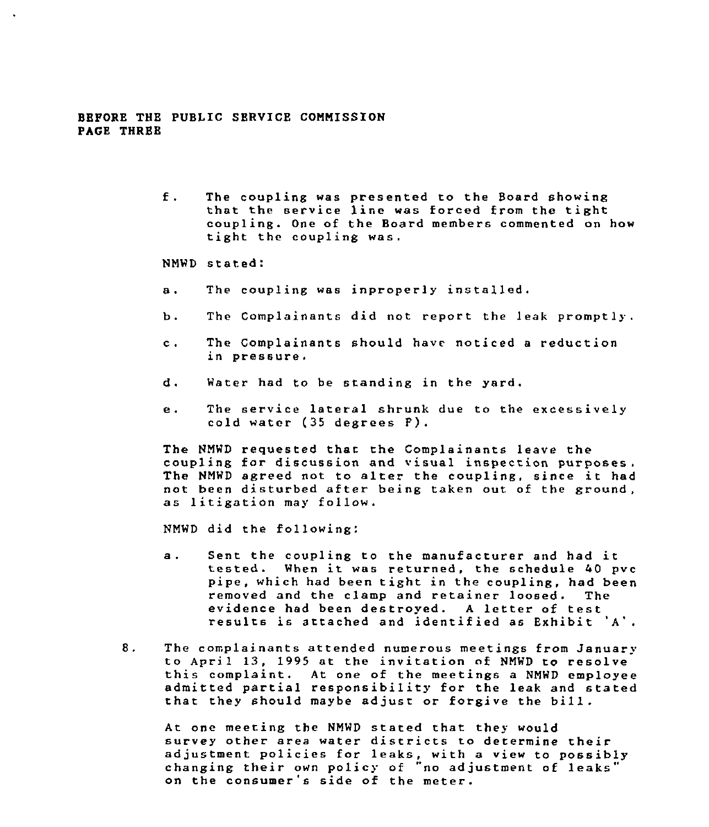#### BEPORE THE PUBI IC SERVICE CONNISSION PAGE THREB

- $f$ . The coupling was presented to the Board showing that the service line was forced from the tight coupling. One of the Board members commented on how tight the coupling was.
- NMWD stated:
- a. The coupling was inproperly installed.
- b. The Complainants did not report the leak promptly.
- $\mathbf{c}$ . The Complsinants should have noticed <sup>a</sup> reduction in pressure
- d. Water had to be standing in the yard.
- The service lateral shrunk due to the excessively  $\mathbf{e}$ . cold water (35 degrees P).

The HNWD requested thar. the Complainants leave the coupling for discussion and visual inspection purposes, The HNWD agreed not to alter the coupling, since it had not been disturbed after being taken out of the ground, as litigation may follow.

NMWD did the following:

- Sent the coupling to the manufacturer and had it<br>tested. When it was returned, the schedule 40 pvc  $a<sub>1</sub>$ pipe, which had been tight in the coupling, had been<br>removed and the clamp and retainer loosed. The removed and the clamp and retainer loosed. The<br>evidence had been destroyed. A letter of test results is attached and identified as Exhibit 'A'.
- 8. The complainants attended numerous meetings from January to April 13, <sup>1995</sup> at the invitation of NMWD to resolve this complaint. At one of the meetings <sup>a</sup> NNWD employee admitted partial responsibility for the leek and stated that they should maybe adjust or forgive the bill.

At one meeting the NNWD stated that they would survey other area water districts to determine their adjustment policies for leaks, with <sup>a</sup> view to possibly changing their own policy of "no adjustment of leaks" on the consumer's side of the meter.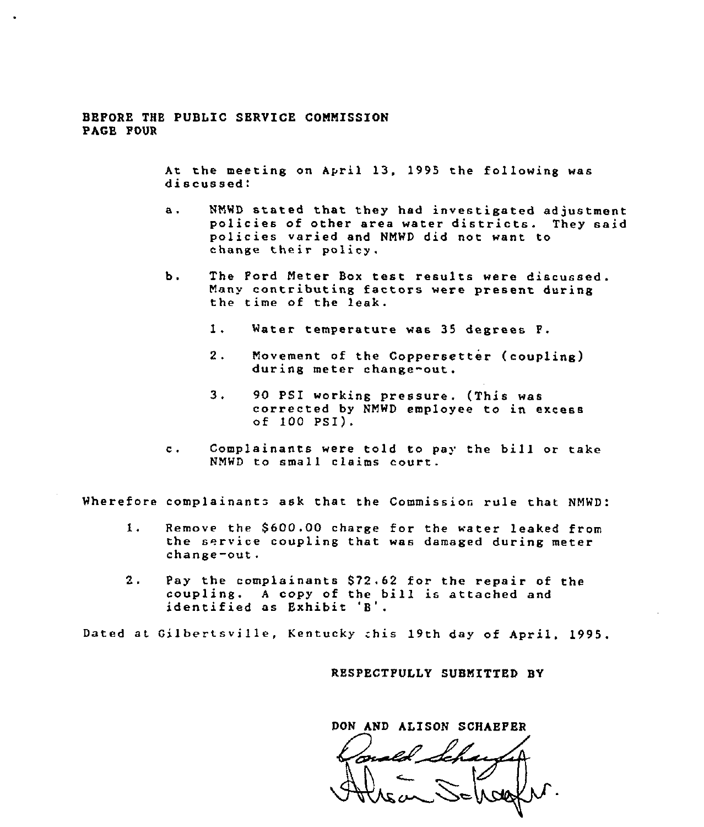#### BBFORE THE PUBLIC SBRVICE COMMISSION PAGE FOUR

At the meeting on April 13, 1995 the following was discussed:

- а. NM'WD stated that they had investigated adjustment policies of other area water districts. They said policies varied and NMWD did not want to change their policy.
- Ъ. The Ford Meter Box test results were discussed Many contributing factors were present during the time of the leak.
	- 1. Water temperature was <sup>35</sup> degrees F.
	- 2. Movement of the Coppersetter (coupling) during meter change-out.
	- $3.$ <sup>90</sup> PSI working pressure. (This was corrected by NMWD employee to in excess of 100 PSI).
- Complainants were told to pay the bill or take  $\mathbf{c}$ . NMWD to small claims court.

Wherefore complainants ask that the Commission rule that NMWD:

- 1. Remove the \$600.00 charge for the water leaked from the service coupling that was damaged during meter change-out.
- 2. Pay the complainants \$72.62 for the repair of the coupling. A copy of the bill is attached and identified as Exhibit 'B'.

Dated at Gilbertsville, Kentucky chis 19th day of April, 1995.

RESPECTPULLY SUBMITTED BY

DON AND ALISON SCHAEPER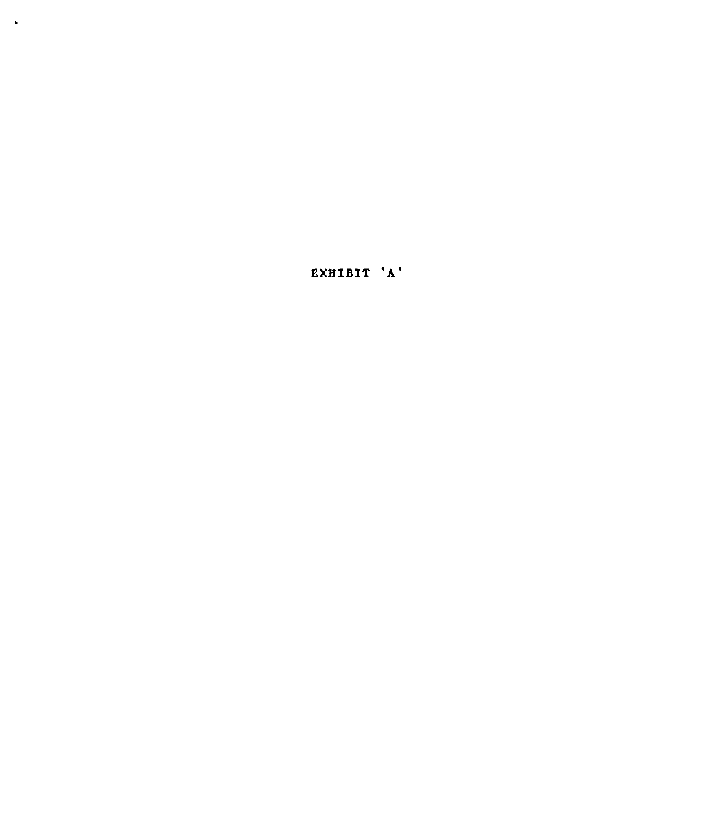# **EXHIBIT 'A'**

 $\mathcal{L}(\mathcal{L}^{\mathcal{L}})$  and  $\mathcal{L}(\mathcal{L}^{\mathcal{L}})$  and  $\mathcal{L}(\mathcal{L}^{\mathcal{L}})$ 

 $\ddot{\phantom{1}}$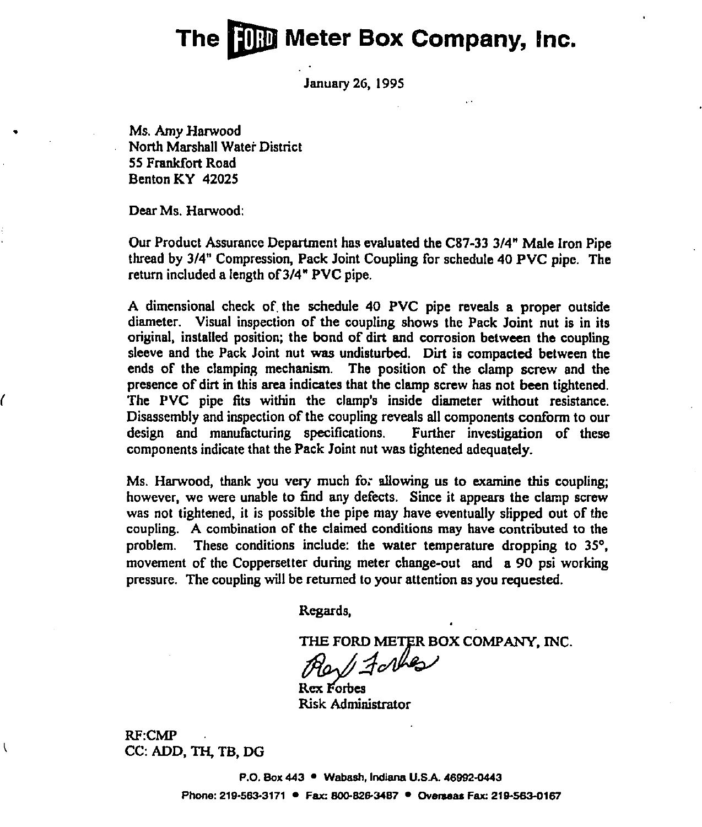# The <sup>I</sup> **The Meter Box Company, Inc.**

January 2G, 1995

Ms. Amy Harwood North Marshall Water District 55 Frankfort Road Benton KY 42025

Dear Ms. Harwood:

ſ

 $\overline{\mathcal{L}}$ 

Our Product Assurance Department has evaluated the C87-33 3/4" Male iron Pipe thread by 3/4" Compression, Pack Joint Coupling for schedule 40 PVC pipe. The return included a length of 3/4" PVC pipe.

A dimensional check of, the schedule 40 PVC pipe reveals a proper outside diameter. Visual inspection of the coupling shows the Pack Joint nut is in its original, installed position; the bond of dirt and corrosion between the coupling sleeve and the Pack Joint nut was undisturbed. Dirt is compacted between the ends of the clamping mechanism. The position of the clamp screw and the presence of dirt in this area indicates that the clamp screw has not been tightened. The PVC pipe fits within the clamp's inside diameter without resistance. Disassembly and inspection of the coupling reveals all components conform to our design and manufacturing specifications. Further investigation of these design and manufacturing specifications. components indicate that the Pack Joint nut was tightened adequately.

Ms. Harwood, thank you very much fo. allowing us to examine this coupling; however, we were unable to find any defects. Since it appears the clamp screw was not tightened, it is possible the pipe may have eventually slipped out of the coupling. A combination of the claimed conditions may have contributed to the problem. These conditions include: the water temperature dropping to 35', movement of the Coppersetter during meter change-out and a 90 psi working pressure. The coupling will be returned to your attention as you requested.

Regards,

THE FORD METER BOX COMPANY, INC.

 $14$ critics

Rex Forbes Risk Administrator

RF:CMP CC: ADD, TH, TB, DG

> P.O. Box 443 • Wabash, Indiana U.S.A. 46992-0443 Phone: 219-563-3171 · Fax: 800-826-3487 · Overseas Fax: 219-563-0167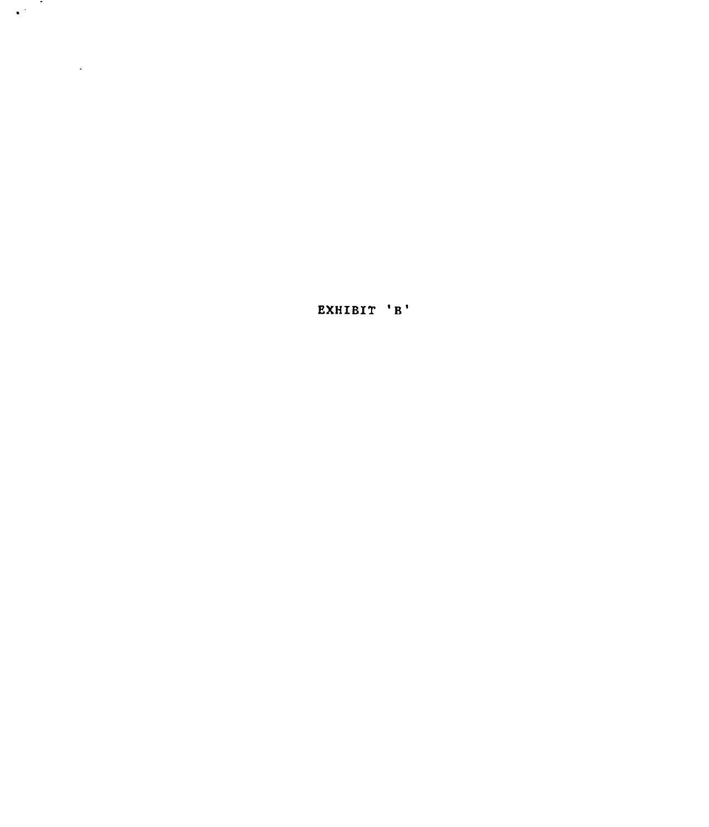EXHIBIT 'B'

 $\sim 10^{-10}$ 

 $\mathcal{L}(\mathcal{A})$  and  $\mathcal{L}(\mathcal{A})$